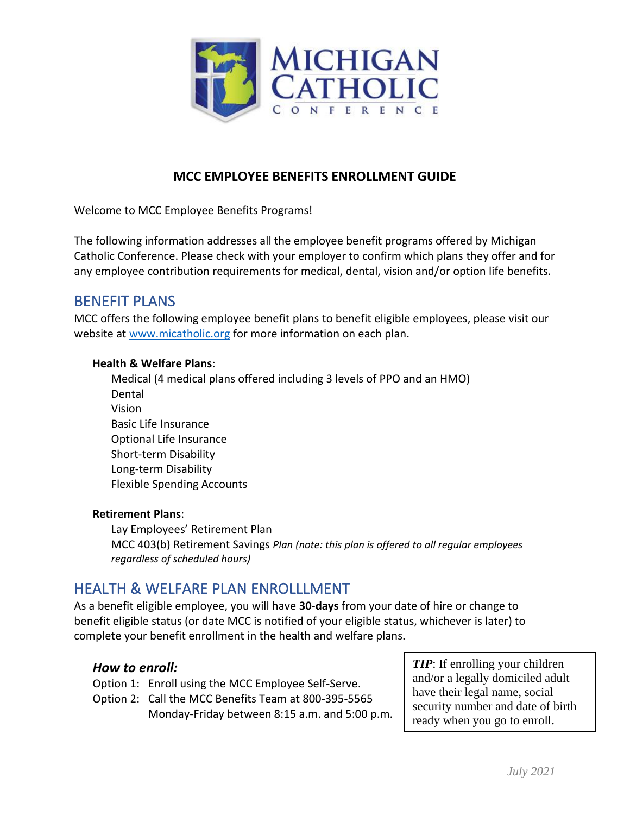

## **MCC EMPLOYEE BENEFITS ENROLLMENT GUIDE**

Welcome to MCC Employee Benefits Programs!

The following information addresses all the employee benefit programs offered by Michigan Catholic Conference. Please check with your employer to confirm which plans they offer and for any employee contribution requirements for medical, dental, vision and/or option life benefits.

## BENEFIT PLANS

MCC offers the following employee benefit plans to benefit eligible employees, please visit our website at [www.micatholic.org](http://www.micatholic.org/) for more information on each plan.

### **Health & Welfare Plans**:

Medical (4 medical plans offered including 3 levels of PPO and an HMO) Dental Vision Basic Life Insurance Optional Life Insurance Short-term Disability Long-term Disability Flexible Spending Accounts

### **Retirement Plans**:

Lay Employees' Retirement Plan MCC 403(b) Retirement Savings *Plan (note: this plan is offered to all regular employees regardless of scheduled hours)*

# HEALTH & WELFARE PLAN ENROLLLMENT

As a benefit eligible employee, you will have **30-days** from your date of hire or change to benefit eligible status (or date MCC is notified of your eligible status, whichever is later) to complete your benefit enrollment in the health and welfare plans.

## *How to enroll:*

Option 1: Enroll using the MCC Employee Self-Serve.

Option 2: Call the MCC Benefits Team at 800-395-5565 Monday-Friday between 8:15 a.m. and 5:00 p.m.

*TIP*: If enrolling your children and/or a legally domiciled adult have their legal name, social security number and date of birth ready when you go to enroll.